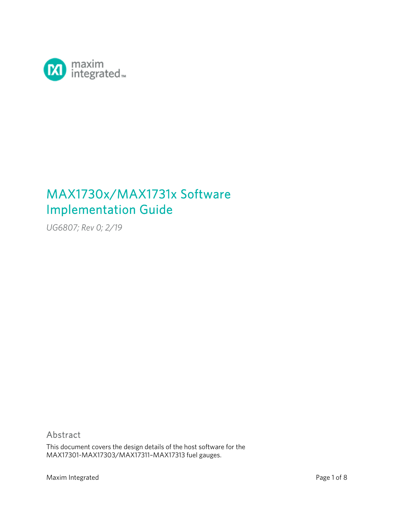

# MAX1730x/MAX1731x Software Implementation Guide

*UG6807; Rev 0; 2/19* 

## Abstract

This document covers the design details of the host software for the MAX17301-MAX17303/MAX17311–MAX17313 fuel gauges.

Maxim Integrated **Page 1 of 8**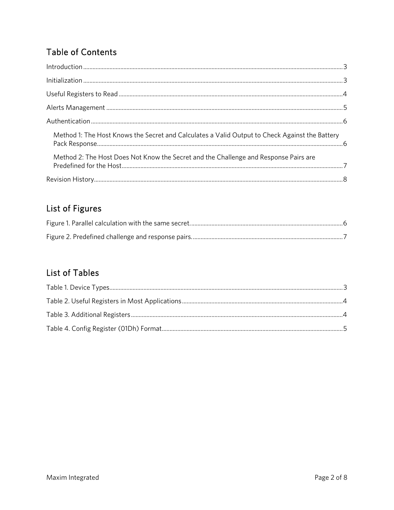## **Table of Contents**

| Method 1: The Host Knows the Secret and Calculates a Valid Output to Check Against the Battery |  |
|------------------------------------------------------------------------------------------------|--|
| Method 2: The Host Does Not Know the Secret and the Challenge and Response Pairs are           |  |
|                                                                                                |  |

## List of Figures

## List of Tables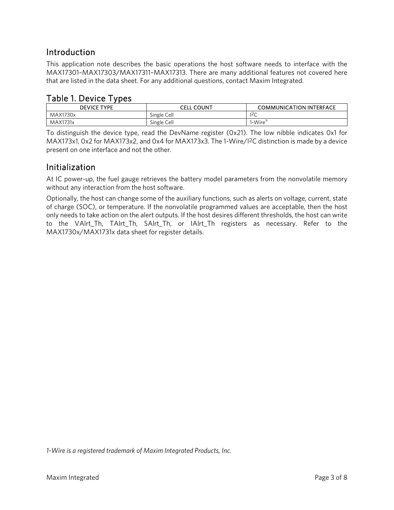## Introduction

This application note describes the basic operations the host software needs to interface with the MAX17301–MAX17303/MAX17311–MAX17313. There are many additional features not covered here that are listed in the data sheet. For any additional questions, contact Maxim Integrated.

### Table 1. Device Types

| <b>DEVICE TYPE</b> | - COUNT<br>CELL | <b>COMMUNICATION INTERFACE</b> |
|--------------------|-----------------|--------------------------------|
| MAX1730x           | Single Cell     | $\sqrt{2}$<br>~                |
| MAX1731x           | Single Cell     | $I-Wire^{\circledast}$         |

To distinguish the device type, read the DevName register (0x21). The low nibble indicates 0x1 for MAX173x1, 0x2 for MAX173x2, and 0x4 for MAX173x3. The 1-Wire/I2C distinction is made by a device present on one interface and not the other.

## Initialization

At IC power-up, the fuel gauge retrieves the battery model parameters from the nonvolatile memory without any interaction from the host software.

Optionally, the host can change some of the auxiliary functions, such as alerts on voltage, current, state of charge (SOC), or temperature. If the nonvolatile programmed values are acceptable, then the host only needs to take action on the alert outputs. If the host desires different thresholds, the host can write to the VAlrt\_Th, TAlrt\_Th, SAlrt\_Th, or IAlrt\_Th registers as necessary. Refer to the MAX1730x/MAX1731x data sheet for register details.

*1-Wire is a registered trademark of Maxim Integrated Products, Inc.*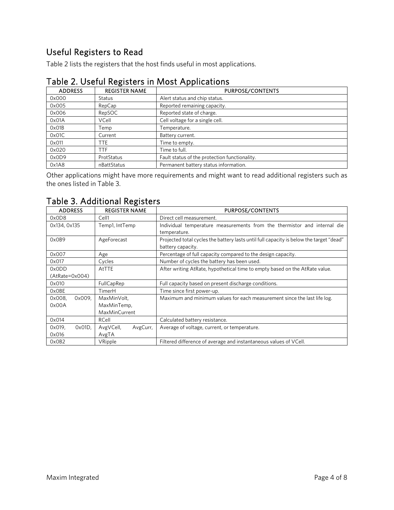## Useful Registers to Read

Table 2 lists the registers that the host finds useful in most applications.

| <b>ADDRESS</b> | <b>REGISTER NAME</b> | PURPOSE/CONTENTS                              |
|----------------|----------------------|-----------------------------------------------|
| 0x000          | <b>Status</b>        | Alert status and chip status.                 |
| 0x005          | RepCap               | Reported remaining capacity.                  |
| 0x006          | RepSOC               | Reported state of charge.                     |
| 0x01A          | VCell                | Cell voltage for a single cell.               |
| 0x01B          | Temp                 | Femperature.                                  |
| 0x01C          | Current              | Battery current.                              |
| 0x011          | <b>TTE</b>           | Time to empty.                                |
| 0x020          | TTF                  | Time to full.                                 |
| 0x0D9          | ProtStatus           | Fault status of the protection functionality. |
| 0x1A8          | nBattStatus          | Permanent battery status information.         |

### Table 2. Useful Registers in Most Applications

Other applications might have more requirements and might want to read additional registers such as the ones listed in Table 3.

| <b>ADDRESS</b>      | <b>REGISTER NAME</b>  | PURPOSE/CONTENTS                                                                                             |  |  |  |  |  |
|---------------------|-----------------------|--------------------------------------------------------------------------------------------------------------|--|--|--|--|--|
| 0x0D8               | Cell1                 | Direct cell measurement.                                                                                     |  |  |  |  |  |
| 0x134, 0x135        | Temp1, IntTemp        | Individual temperature measurements from the thermistor and internal die                                     |  |  |  |  |  |
|                     |                       | temperature.                                                                                                 |  |  |  |  |  |
| 0x0B9               | AgeForecast           | Projected total cycles the battery lasts until full capacity is below the target "dead"<br>battery capacity. |  |  |  |  |  |
| 0x007               | Age                   | Percentage of full capacity compared to the design capacity.                                                 |  |  |  |  |  |
| 0x017               | Cycles                | Number of cycles the battery has been used.                                                                  |  |  |  |  |  |
| 0x0DD               | AtTTE                 | After writing AtRate, hypothetical time to empty based on the AtRate value.                                  |  |  |  |  |  |
| (AtRate=0x004)      |                       |                                                                                                              |  |  |  |  |  |
| 0x010               | FullCapRep            | Full capacity based on present discharge conditions.                                                         |  |  |  |  |  |
| <b>OxOBE</b>        | TimerH                | Time since first power-up.                                                                                   |  |  |  |  |  |
| 0x009,<br>0x008,    | MaxMinVolt,           | Maximum and minimum values for each measurement since the last life log.                                     |  |  |  |  |  |
| 0x00A               | MaxMinTemp,           |                                                                                                              |  |  |  |  |  |
|                     | MaxMinCurrent         |                                                                                                              |  |  |  |  |  |
| 0x014               | RCell                 | Calculated battery resistance.                                                                               |  |  |  |  |  |
| 0x019,<br>$0x01D$ , | AvgVCell,<br>AvgCurr, | Average of voltage, current, or temperature.                                                                 |  |  |  |  |  |
| 0x016               | AvgTA                 |                                                                                                              |  |  |  |  |  |
| OxOB <sub>2</sub>   | VRipple               | Filtered difference of average and instantaneous values of VCell.                                            |  |  |  |  |  |

#### Table 3. Additional Registers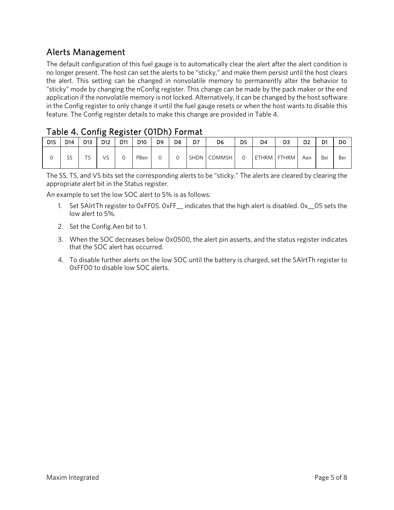## Alerts Management

The default configuration of this fuel gauge is to automatically clear the alert after the alert condition is no longer present. The host can set the alerts to be "sticky," and make them persist until the host clears the alert. This setting can be changed in nonvolatile memory to permanently alter the behavior to "sticky" mode by changing the nConfig register. This change can be made by the pack maker or the end application if the nonvolatile memory is not locked. Alternatively, it can be changed by the host software in the Config register to only change it until the fuel gauge resets or when the host wants to disable this feature. The Config register details to make this change are provided in Table 4.

#### Table 4. Config Register (01Dh) Format

|                 |     |                     |                 |     |                 |    |                | .  |             |                |             |    |                |     |     |
|-----------------|-----|---------------------|-----------------|-----|-----------------|----|----------------|----|-------------|----------------|-------------|----|----------------|-----|-----|
| D <sub>15</sub> | D14 | D13                 | D <sub>12</sub> | D11 | D <sub>10</sub> | D9 | D <sub>8</sub> | D7 | D6          | D <sub>5</sub> | D4          | D3 | D <sub>2</sub> | D1  | D0  |
|                 | SS  | $\overline{a}$<br>د | VS              |     | PBen            |    |                |    | SHDN COMMSH |                | ETHRM FTHRM |    | Aen            | Bei | Ber |

The SS, TS, and VS bits set the corresponding alerts to be "sticky." The alerts are cleared by clearing the appropriate alert bit in the Status register.

An example to set the low SOC alert to 5% is as follows:

- 1. Set SAlrtTh register to 0xFF05. 0xFF\_\_ indicates that the high alert is disabled. 0x\_\_05 sets the low alert to 5%.
- 2. Set the Config.Aen bit to 1.
- 3. When the SOC decreases below 0x0500, the alert pin asserts, and the status register indicates that the SOC alert has occurred.
- 4. To disable further alerts on the low SOC until the battery is charged, set the SAlrtTh register to 0xFF00 to disable low SOC alerts.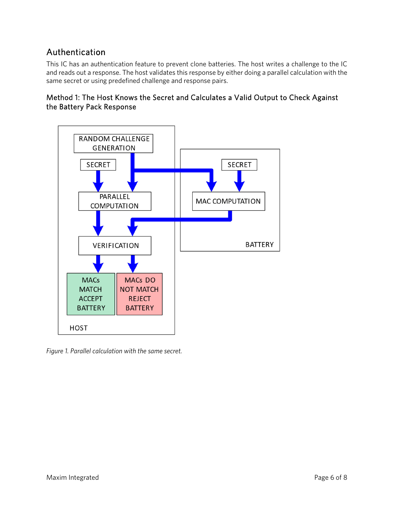## Authentication

This IC has an authentication feature to prevent clone batteries. The host writes a challenge to the IC and reads out a response. The host validates this response by either doing a parallel calculation with the same secret or using predefined challenge and response pairs.





*Figure 1. Parallel calculation with the same secret.*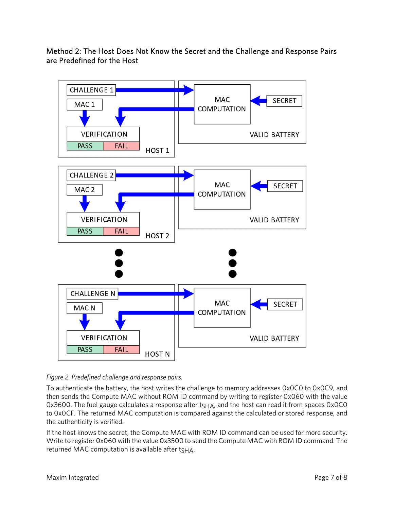Method 2: The Host Does Not Know the Secret and the Challenge and Response Pairs are Predefined for the Host



*Figure 2. Predefined challenge and response pairs.* 

To authenticate the battery, the host writes the challenge to memory addresses 0x0C0 to 0x0C9, and then sends the Compute MAC without ROM ID command by writing to register 0x060 with the value 0x3600. The fuel gauge calculates a response after  $t<sub>SHA</sub>$ , and the host can read it from spaces 0x0C0 to 0x0CF. The returned MAC computation is compared against the calculated or stored response, and the authenticity is verified.

If the host knows the secret, the Compute MAC with ROM ID command can be used for more security. Write to register 0x060 with the value 0x3500 to send the Compute MAC with ROM ID command. The returned MAC computation is available after  $t<sub>SHA</sub>$ .